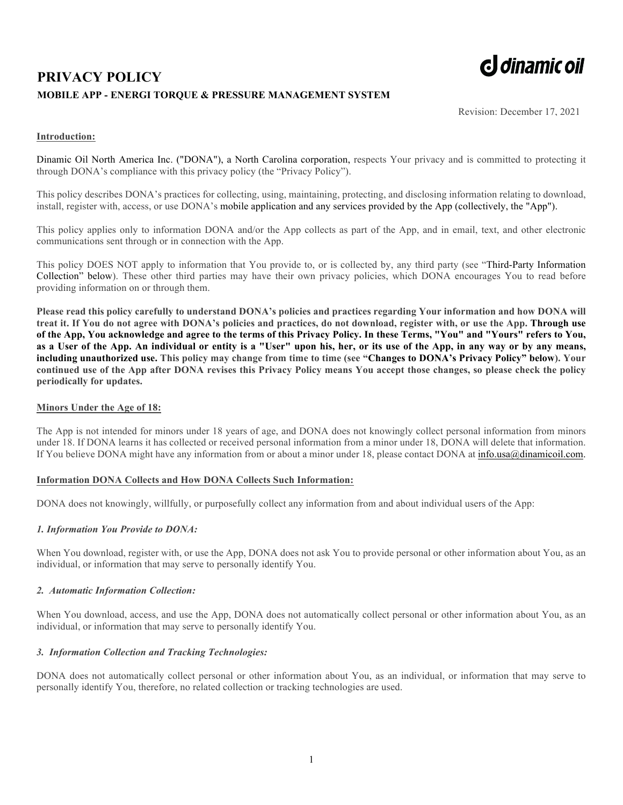# **PRIVACY POLICY MOBILE APP - ENERGI TORQUE & PRESSURE MANAGEMENT SYSTEM**



Revision: December 17, 2021

## **Introduction:**

Dinamic Oil North America Inc. ("DONA"), a North Carolina corporation, respects Your privacy and is committed to protecting it through DONA's compliance with this privacy policy (the "Privacy Policy").

This policy describes DONA's practices for collecting, using, maintaining, protecting, and disclosing information relating to download, install, register with, access, or use DONA's mobile application and any services provided by the App (collectively, the "App").

This policy applies only to information DONA and/or the App collects as part of the App, and in email, text, and other electronic communications sent through or in connection with the App.

This policy DOES NOT apply to information that You provide to, or is collected by, any third party (see "Third-Party Information Collection" below). These other third parties may have their own privacy policies, which DONA encourages You to read before providing information on or through them.

**Please read this policy carefully to understand DONA's policies and practices regarding Your information and how DONA will treat it. If You do not agree with DONA's policies and practices, do not download, register with, or use the App. Through use of the App, You acknowledge and agree to the terms of this Privacy Policy. In these Terms, "You" and "Yours" refers to You, as a User of the App. An individual or entity is a "User" upon his, her, or its use of the App, in any way or by any means, including unauthorized use. This policy may change from time to time (see "Changes to DONA's Privacy Policy" below). Your continued use of the App after DONA revises this Privacy Policy means You accept those changes, so please check the policy periodically for updates.**

## **Minors Under the Age of 18:**

The App is not intended for minors under 18 years of age, and DONA does not knowingly collect personal information from minors under 18. If DONA learns it has collected or received personal information from a minor under 18, DONA will delete that information. If You believe DONA might have any information from or about a minor under 18, please contact DONA at info.usa@dinamicoil.com.

### **Information DONA Collects and How DONA Collects Such Information:**

DONA does not knowingly, willfully, or purposefully collect any information from and about individual users of the App:

# *1. Information You Provide to DONA:*

When You download, register with, or use the App, DONA does not ask You to provide personal or other information about You, as an individual, or information that may serve to personally identify You.

### *2. Automatic Information Collection:*

When You download, access, and use the App, DONA does not automatically collect personal or other information about You, as an individual, or information that may serve to personally identify You.

# *3. Information Collection and Tracking Technologies:*

DONA does not automatically collect personal or other information about You, as an individual, or information that may serve to personally identify You, therefore, no related collection or tracking technologies are used.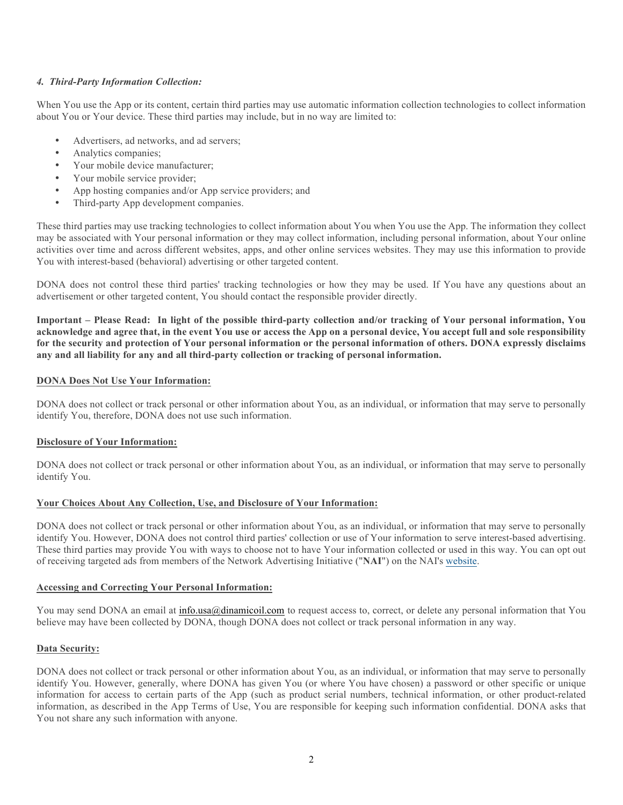# *4. Third-Party Information Collection:*

When You use the App or its content, certain third parties may use automatic information collection technologies to collect information about You or Your device. These third parties may include, but in no way are limited to:

- Advertisers, ad networks, and ad servers;
- Analytics companies:
- Your mobile device manufacturer;
- Your mobile service provider;
- App hosting companies and/or App service providers; and
- Third-party App development companies.

These third parties may use tracking technologies to collect information about You when You use the App. The information they collect may be associated with Your personal information or they may collect information, including personal information, about Your online activities over time and across different websites, apps, and other online services websites. They may use this information to provide You with interest-based (behavioral) advertising or other targeted content.

DONA does not control these third parties' tracking technologies or how they may be used. If You have any questions about an advertisement or other targeted content, You should contact the responsible provider directly.

**Important – Please Read: In light of the possible third-party collection and/or tracking of Your personal information, You acknowledge and agree that, in the event You use or access the App on a personal device, You accept full and sole responsibility for the security and protection of Your personal information or the personal information of others. DONA expressly disclaims any and all liability for any and all third-party collection or tracking of personal information.**

## **DONA Does Not Use Your Information:**

DONA does not collect or track personal or other information about You, as an individual, or information that may serve to personally identify You, therefore, DONA does not use such information.

# **Disclosure of Your Information:**

DONA does not collect or track personal or other information about You, as an individual, or information that may serve to personally identify You.

# **Your Choices About Any Collection, Use, and Disclosure of Your Information:**

DONA does not collect or track personal or other information about You, as an individual, or information that may serve to personally identify You. However, DONA does not control third parties' collection or use of Your information to serve interest-based advertising. These third parties may provide You with ways to choose not to have Your information collected or used in this way. You can opt out of receiving targeted ads from members of the Network Advertising Initiative ("**NAI**") on the NAI's website.

### **Accessing and Correcting Your Personal Information:**

You may send DONA an email at info.usa@dinamicoil.com to request access to, correct, or delete any personal information that You believe may have been collected by DONA, though DONA does not collect or track personal information in any way.

## **Data Security:**

DONA does not collect or track personal or other information about You, as an individual, or information that may serve to personally identify You. However, generally, where DONA has given You (or where You have chosen) a password or other specific or unique information for access to certain parts of the App (such as product serial numbers, technical information, or other product-related information, as described in the App Terms of Use, You are responsible for keeping such information confidential. DONA asks that You not share any such information with anyone.